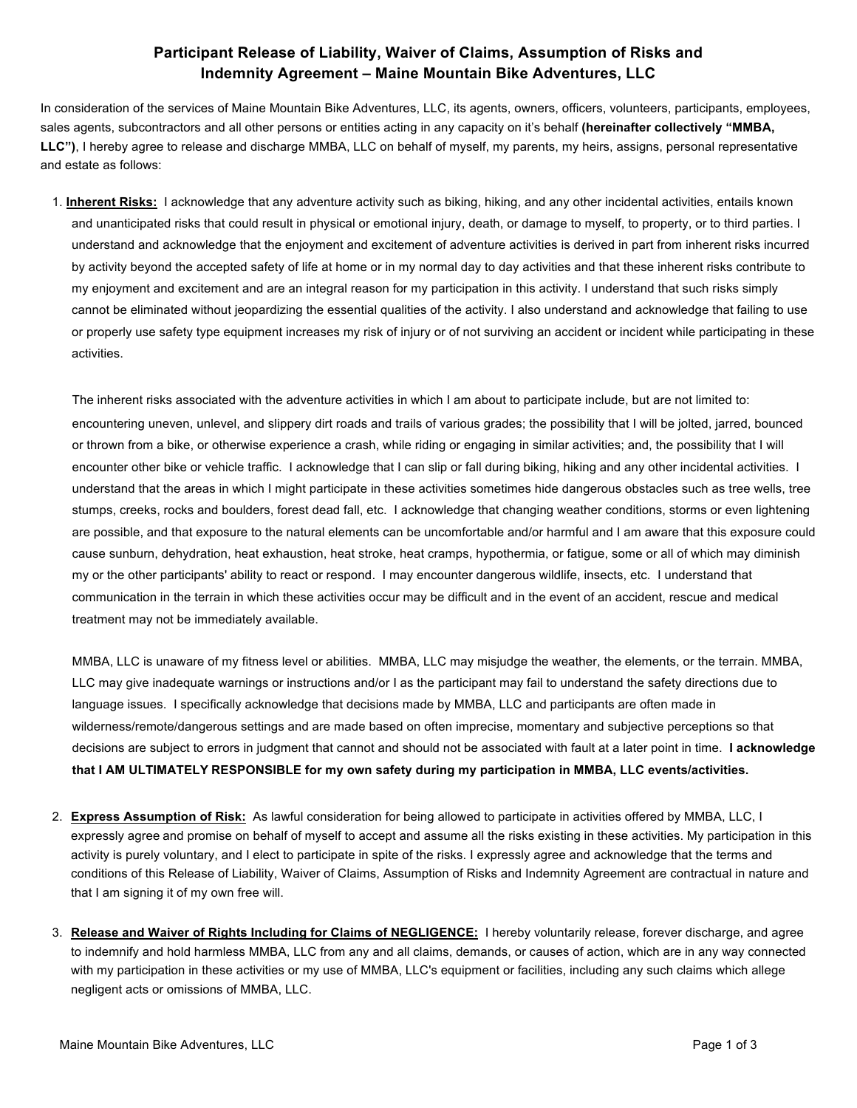## **Participant Release of Liability, Waiver of Claims, Assumption of Risks and Indemnity Agreement – Maine Mountain Bike Adventures, LLC**

In consideration of the services of Maine Mountain Bike Adventures, LLC, its agents, owners, officers, volunteers, participants, employees, sales agents, subcontractors and all other persons or entities acting in any capacity on it's behalf **(hereinafter collectively "MMBA, LLC")**, I hereby agree to release and discharge MMBA, LLC on behalf of myself, my parents, my heirs, assigns, personal representative and estate as follows:

1. **Inherent Risks:** I acknowledge that any adventure activity such as biking, hiking, and any other incidental activities, entails known and unanticipated risks that could result in physical or emotional injury, death, or damage to myself, to property, or to third parties. I understand and acknowledge that the enjoyment and excitement of adventure activities is derived in part from inherent risks incurred by activity beyond the accepted safety of life at home or in my normal day to day activities and that these inherent risks contribute to my enjoyment and excitement and are an integral reason for my participation in this activity. I understand that such risks simply cannot be eliminated without jeopardizing the essential qualities of the activity. I also understand and acknowledge that failing to use or properly use safety type equipment increases my risk of injury or of not surviving an accident or incident while participating in these activities.

The inherent risks associated with the adventure activities in which I am about to participate include, but are not limited to: encountering uneven, unlevel, and slippery dirt roads and trails of various grades; the possibility that I will be jolted, jarred, bounced or thrown from a bike, or otherwise experience a crash, while riding or engaging in similar activities; and, the possibility that I will encounter other bike or vehicle traffic. I acknowledge that I can slip or fall during biking, hiking and any other incidental activities. I understand that the areas in which I might participate in these activities sometimes hide dangerous obstacles such as tree wells, tree stumps, creeks, rocks and boulders, forest dead fall, etc. I acknowledge that changing weather conditions, storms or even lightening are possible, and that exposure to the natural elements can be uncomfortable and/or harmful and I am aware that this exposure could cause sunburn, dehydration, heat exhaustion, heat stroke, heat cramps, hypothermia, or fatigue, some or all of which may diminish my or the other participants' ability to react or respond. I may encounter dangerous wildlife, insects, etc. I understand that communication in the terrain in which these activities occur may be difficult and in the event of an accident, rescue and medical treatment may not be immediately available.

MMBA, LLC is unaware of my fitness level or abilities. MMBA, LLC may misjudge the weather, the elements, or the terrain. MMBA, LLC may give inadequate warnings or instructions and/or I as the participant may fail to understand the safety directions due to language issues. I specifically acknowledge that decisions made by MMBA, LLC and participants are often made in wilderness/remote/dangerous settings and are made based on often imprecise, momentary and subjective perceptions so that decisions are subject to errors in judgment that cannot and should not be associated with fault at a later point in time. **I acknowledge that I AM ULTIMATELY RESPONSIBLE for my own safety during my participation in MMBA, LLC events/activities.**

- 2. **Express Assumption of Risk:** As lawful consideration for being allowed to participate in activities offered by MMBA, LLC, I expressly agree and promise on behalf of myself to accept and assume all the risks existing in these activities. My participation in this activity is purely voluntary, and I elect to participate in spite of the risks. I expressly agree and acknowledge that the terms and conditions of this Release of Liability, Waiver of Claims, Assumption of Risks and Indemnity Agreement are contractual in nature and that I am signing it of my own free will.
- 3. **Release and Waiver of Rights Including for Claims of NEGLIGENCE:** I hereby voluntarily release, forever discharge, and agree to indemnify and hold harmless MMBA, LLC from any and all claims, demands, or causes of action, which are in any way connected with my participation in these activities or my use of MMBA, LLC's equipment or facilities, including any such claims which allege negligent acts or omissions of MMBA, LLC.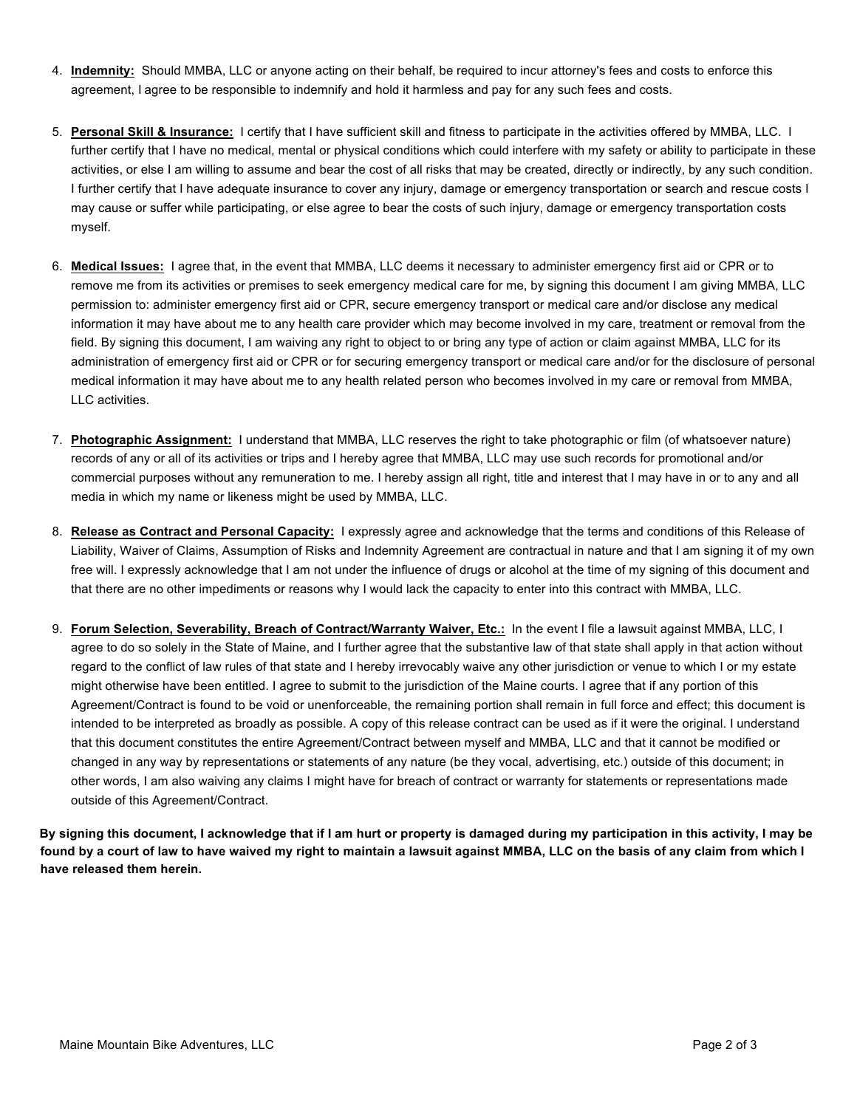- 4. **Indemnity:** Should MMBA, LLC or anyone acting on their behalf, be required to incur attorney's fees and costs to enforce this agreement, I agree to be responsible to indemnify and hold it harmless and pay for any such fees and costs.
- 5. **Personal Skill & Insurance:** I certify that I have sufficient skill and fitness to participate in the activities offered by MMBA, LLC. I further certify that I have no medical, mental or physical conditions which could interfere with my safety or ability to participate in these activities, or else I am willing to assume and bear the cost of all risks that may be created, directly or indirectly, by any such condition. I further certify that I have adequate insurance to cover any injury, damage or emergency transportation or search and rescue costs I may cause or suffer while participating, or else agree to bear the costs of such injury, damage or emergency transportation costs myself.
- 6. **Medical Issues:** I agree that, in the event that MMBA, LLC deems it necessary to administer emergency first aid or CPR or to remove me from its activities or premises to seek emergency medical care for me, by signing this document I am giving MMBA, LLC permission to: administer emergency first aid or CPR, secure emergency transport or medical care and/or disclose any medical information it may have about me to any health care provider which may become involved in my care, treatment or removal from the field. By signing this document, I am waiving any right to object to or bring any type of action or claim against MMBA, LLC for its administration of emergency first aid or CPR or for securing emergency transport or medical care and/or for the disclosure of personal medical information it may have about me to any health related person who becomes involved in my care or removal from MMBA, LLC activities.
- 7. **Photographic Assignment:** I understand that MMBA, LLC reserves the right to take photographic or film (of whatsoever nature) records of any or all of its activities or trips and I hereby agree that MMBA, LLC may use such records for promotional and/or commercial purposes without any remuneration to me. I hereby assign all right, title and interest that I may have in or to any and all media in which my name or likeness might be used by MMBA, LLC.
- 8. **Release as Contract and Personal Capacity:** I expressly agree and acknowledge that the terms and conditions of this Release of Liability, Waiver of Claims, Assumption of Risks and Indemnity Agreement are contractual in nature and that I am signing it of my own free will. I expressly acknowledge that I am not under the influence of drugs or alcohol at the time of my signing of this document and that there are no other impediments or reasons why I would lack the capacity to enter into this contract with MMBA, LLC.
- 9. **Forum Selection, Severability, Breach of Contract/Warranty Waiver, Etc.:** In the event I file a lawsuit against MMBA, LLC, I agree to do so solely in the State of Maine, and I further agree that the substantive law of that state shall apply in that action without regard to the conflict of law rules of that state and I hereby irrevocably waive any other jurisdiction or venue to which I or my estate might otherwise have been entitled. I agree to submit to the jurisdiction of the Maine courts. I agree that if any portion of this Agreement/Contract is found to be void or unenforceable, the remaining portion shall remain in full force and effect; this document is intended to be interpreted as broadly as possible. A copy of this release contract can be used as if it were the original. I understand that this document constitutes the entire Agreement/Contract between myself and MMBA, LLC and that it cannot be modified or changed in any way by representations or statements of any nature (be they vocal, advertising, etc.) outside of this document; in other words, I am also waiving any claims I might have for breach of contract or warranty for statements or representations made outside of this Agreement/Contract.

**By signing this document, I acknowledge that if I am hurt or property is damaged during my participation in this activity, I may be found by a court of law to have waived my right to maintain a lawsuit against MMBA, LLC on the basis of any claim from which I have released them herein.**